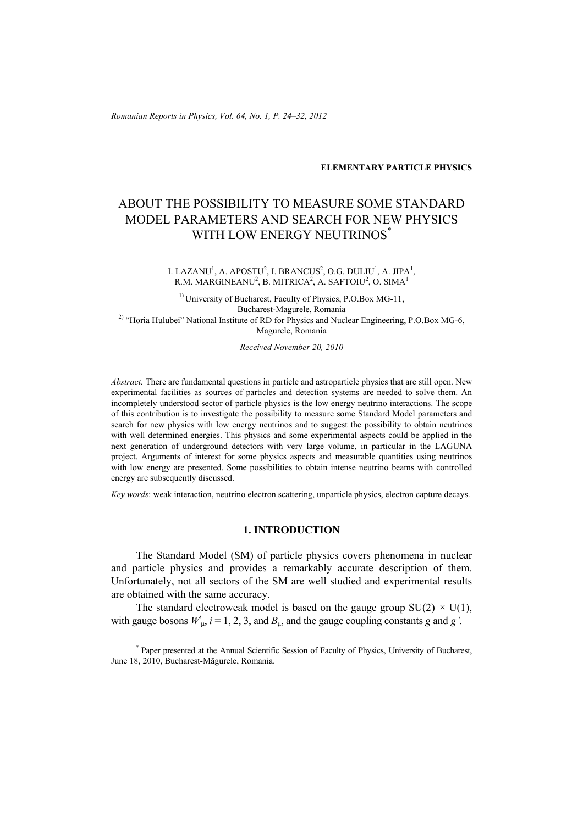*Romanian Reports in Physics, Vol. 64, No. 1, P. 24–32, 2012*

### **ELEMENTARY PARTICLE PHYSICS**

# ABOUT THE POSSIBILITY TO MEASURE SOME STANDARD MODEL PARAMETERS AND SEARCH FOR NEW PHYSICS WITH LOW ENERGY NEUTRINOS<sup>\*</sup>

I. LAZANU<sup>1</sup>, A. APOSTU<sup>2</sup>, I. BRANCUS<sup>2</sup>, O.G. DULIU<sup>1</sup>, A. JIPA<sup>1</sup>, R.M. MARGINEANU $^2$ , B. MITRICA $^2$ , A. SAFTOIU $^2$ , O. SIMA $^1$ 

<sup>1)</sup> University of Bucharest, Faculty of Physics, P.O.Box MG-11, Bucharest-Magurele, Romania <sup>2)</sup> "Horia Hulubei" National Institute of RD for Physics and Nuclear Engineering, P.O.Box MG-6, Magurele, Romania

*Received November 20, 2010* 

*Abstract.* There are fundamental questions in particle and astroparticle physics that are still open. New experimental facilities as sources of particles and detection systems are needed to solve them. An incompletely understood sector of particle physics is the low energy neutrino interactions. The scope of this contribution is to investigate the possibility to measure some Standard Model parameters and search for new physics with low energy neutrinos and to suggest the possibility to obtain neutrinos with well determined energies. This physics and some experimental aspects could be applied in the next generation of underground detectors with very large volume, in particular in the LAGUNA project. Arguments of interest for some physics aspects and measurable quantities using neutrinos with low energy are presented. Some possibilities to obtain intense neutrino beams with controlled energy are subsequently discussed.

*Key words*: weak interaction, neutrino electron scattering, unparticle physics, electron capture decays.

# **1. INTRODUCTION**

The Standard Model (SM) of particle physics covers phenomena in nuclear and particle physics and provides a remarkably accurate description of them. Unfortunately, not all sectors of the SM are well studied and experimental results are obtained with the same accuracy.

The standard electroweak model is based on the gauge group  $SU(2) \times U(1)$ , with gauge bosons  $W^i_{\mu}$ ,  $i = 1, 2, 3$ , and  $B_{\mu}$ , and the gauge coupling constants *g* and *g'*.

\* Paper presented at the Annual Scientific Session of Faculty of Physics, University of Bucharest, June 18, 2010, Bucharest-Măgurele, Romania.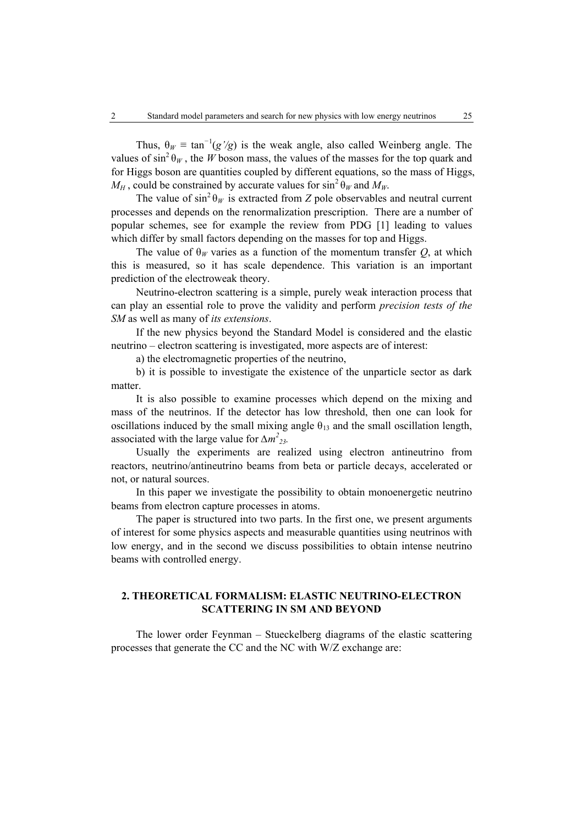Thus,  $\theta_W \equiv \tan^{-1}(g'/g)$  is the weak angle, also called Weinberg angle. The values of  $\sin^2 \theta_W$ , the *W* boson mass, the values of the masses for the top quark and for Higgs boson are quantities coupled by different equations, so the mass of Higgs,  $M_H$ , could be constrained by accurate values for  $\sin^2 \theta_W$  and  $M_W$ .

The value of  $\sin^2 \theta_W$  is extracted from *Z* pole observables and neutral current processes and depends on the renormalization prescription. There are a number of popular schemes, see for example the review from PDG [1] leading to values which differ by small factors depending on the masses for top and Higgs.

The value of  $\theta_W$  varies as a function of the momentum transfer *Q*, at which this is measured, so it has scale dependence. This variation is an important prediction of the electroweak theory.

Neutrino-electron scattering is a simple, purely weak interaction process that can play an essential role to prove the validity and perform *precision tests of the SM* as well as many of *its extensions*.

If the new physics beyond the Standard Model is considered and the elastic neutrino – electron scattering is investigated, more aspects are of interest:

a) the electromagnetic properties of the neutrino,

b) it is possible to investigate the existence of the unparticle sector as dark matter.

It is also possible to examine processes which depend on the mixing and mass of the neutrinos. If the detector has low threshold, then one can look for oscillations induced by the small mixing angle  $\theta_{13}$  and the small oscillation length, associated with the large value for  $\Delta m^2_{23}$ .

Usually the experiments are realized using electron antineutrino from reactors, neutrino/antineutrino beams from beta or particle decays, accelerated or not, or natural sources.

In this paper we investigate the possibility to obtain monoenergetic neutrino beams from electron capture processes in atoms.

The paper is structured into two parts. In the first one, we present arguments of interest for some physics aspects and measurable quantities using neutrinos with low energy, and in the second we discuss possibilities to obtain intense neutrino beams with controlled energy.

# **2. THEORETICAL FORMALISM: ELASTIC NEUTRINO-ELECTRON SCATTERING IN SM AND BEYOND**

The lower order Feynman – Stueckelberg diagrams of the elastic scattering processes that generate the CC and the NC with W/Z exchange are: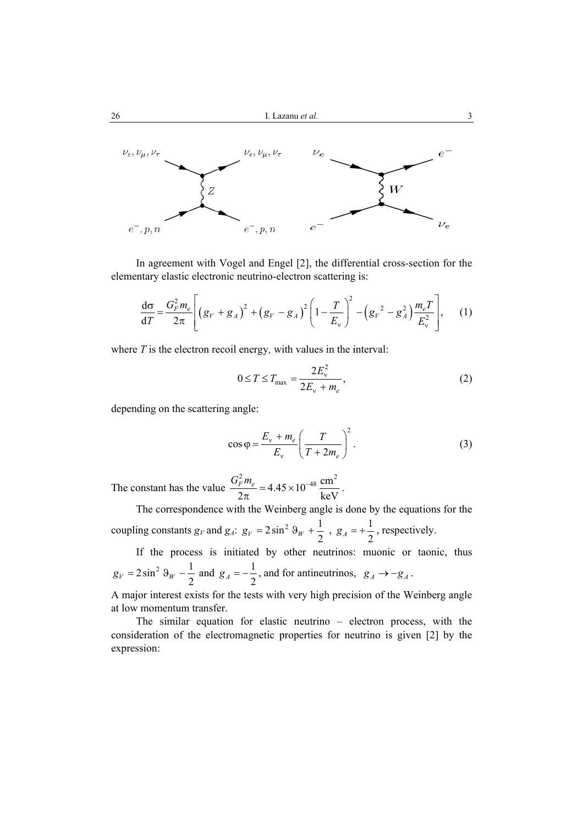

In agreement with Vogel and Engel [2], the differential cross-section for the elementary elastic electronic neutrino-electron scattering is:

$$
\frac{d\sigma}{dT} = \frac{G_F^2 m_e}{2\pi} \left[ \left( g_V + g_A \right)^2 + \left( g_V - g_A \right)^2 \left( 1 - \frac{T}{E_v} \right)^2 - \left( g_V^2 - g_A^2 \right) \frac{m_e T}{E_v^2} \right], \quad (1)
$$

where *T* is the electron recoil energy*,* with values in the interval:

$$
0 \le T \le T_{\text{max}} = \frac{2E_v^2}{2E_v + m_e},\tag{2}
$$

depending on the scattering angle:

$$
\cos \varphi = \frac{E_v + m_e}{E_v} \left(\frac{T}{T + 2m_e}\right)^2.
$$
 (3)

The constant has the value  $\frac{e^2 m_e}{2}$  = 4.45 × 10<sup>-48</sup>  $\frac{\text{cm}^2}{2}$  $2\pi$  keV  $\frac{G_F^2 m_e}{2\pi} = 4.45 \times 10^{-48} \frac{\text{cm}^2}{\text{keV}}$ .

The correspondence with the Weinberg angle is done by the equations for the coupling constants  $g_V$  and  $g_A$ :  $g_V = 2 \sin^2 \theta_W + \frac{1}{2}$ ,  $g_A = +\frac{1}{2}$ , respectively.

If the process is initiated by other neutrinos: muonic or taonic, thus  $g_V = 2\sin^2\theta_W - \frac{1}{2}$  and  $g_A = -\frac{1}{2}$ , and for antineutrinos,  $g_A \rightarrow -g_A$ .

A major interest exists for the tests with very high precision of the Weinberg angle at low momentum transfer.

The similar equation for elastic neutrino – electron process, with the consideration of the electromagnetic properties for neutrino is given [2] by the expression: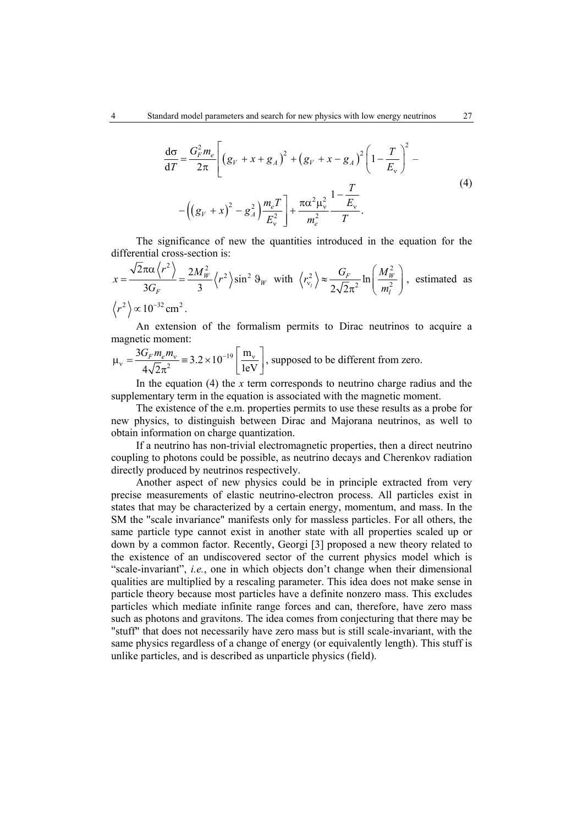$$
\frac{d\sigma}{dT} = \frac{G_F^2 m_e}{2\pi} \left[ \left( g_V + x + g_A \right)^2 + \left( g_V + x - g_A \right)^2 \left( 1 - \frac{T}{E_v} \right)^2 - \left( \left( g_V + x \right)^2 - g_A^2 \right) \frac{m_e T}{E_v^2} \right] + \frac{\pi \alpha^2 \mu_v^2}{m_e^2} \frac{1 - \frac{T}{E_v}}{T}.
$$
\n(4)

The significance of new the quantities introduced in the equation for the differential cross-section is:

$$
x = \frac{\sqrt{2}\pi\alpha \left\langle r^2 \right\rangle}{3G_F} = \frac{2M_W^2}{3} \left\langle r^2 \right\rangle \sin^2 \theta_W \text{ with } \left\langle r_{\nu_l}^2 \right\rangle \approx \frac{G_F}{2\sqrt{2}\pi^2} \ln \left( \frac{M_W^2}{m_l^2} \right), \text{ estimated as}
$$
  

$$
\left\langle r^2 \right\rangle \propto 10^{-32} \text{ cm}^2.
$$

An extension of the formalism permits to Dirac neutrinos to acquire a magnetic moment:

$$
\mu_{\rm v} = \frac{3G_F m_e m_{\rm v}}{4\sqrt{2}\pi^2} \equiv 3.2 \times 10^{-19} \left[ \frac{\text{m}_{\rm v}}{1 \text{eV}} \right], \text{ supposed to be different from zero.}
$$

In the equation  $(4)$  the *x* term corresponds to neutrino charge radius and the supplementary term in the equation is associated with the magnetic moment.

The existence of the e.m. properties permits to use these results as a probe for new physics, to distinguish between Dirac and Majorana neutrinos, as well to obtain information on charge quantization.

If a neutrino has non-trivial electromagnetic properties, then a direct neutrino coupling to photons could be possible, as neutrino decays and Cherenkov radiation directly produced by neutrinos respectively.

Another aspect of new physics could be in principle extracted from very precise measurements of elastic neutrino-electron process. All particles exist in states that may be characterized by a certain energy, momentum, and mass. In the SM the "scale invariance" manifests only for massless particles. For all others, the same particle type cannot exist in another state with all properties scaled up or down by a common factor. Recently, Georgi [3] proposed a new theory related to the existence of an undiscovered sector of the current physics model which is "scale-invariant", *i.e.*, one in which objects don't change when their dimensional qualities are multiplied by a rescaling parameter. This idea does not make sense in particle theory because most particles have a definite nonzero mass. This excludes particles which mediate infinite range forces and can, therefore, have zero mass such as photons and gravitons. The idea comes from conjecturing that there may be "stuff" that does not necessarily have zero mass but is still scale-invariant, with the same physics regardless of a change of energy (or equivalently length). This stuff is unlike particles, and is described as unparticle physics (field).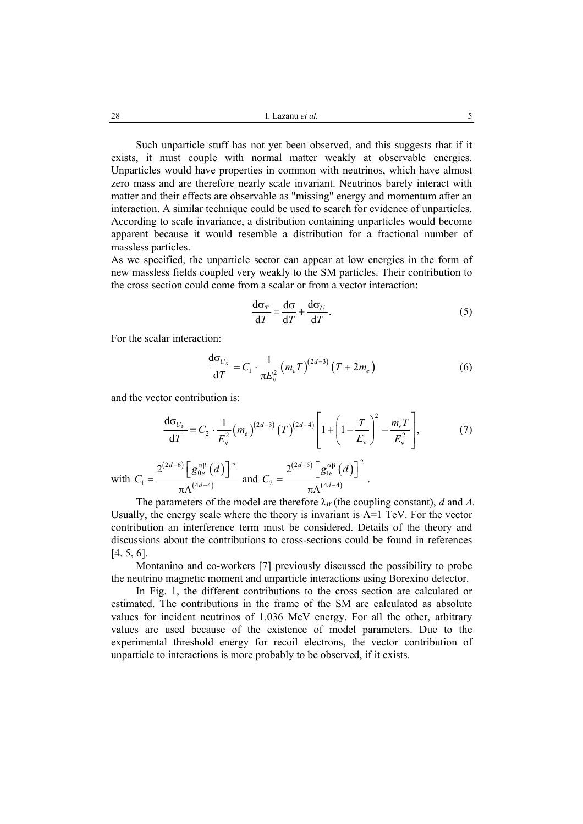Such unparticle stuff has not yet been observed, and this suggests that if it exists, it must couple with normal matter weakly at observable energies. Unparticles would have properties in common with neutrinos, which have almost zero mass and are therefore nearly scale invariant. Neutrinos barely interact with matter and their effects are observable as "missing" energy and momentum after an interaction. A similar technique could be used to search for evidence of unparticles. According to scale invariance, a distribution containing unparticles would become apparent because it would resemble a distribution for a fractional number of massless particles.

As we specified, the unparticle sector can appear at low energies in the form of new massless fields coupled very weakly to the SM particles. Their contribution to the cross section could come from a scalar or from a vector interaction:

$$
\frac{d\sigma_T}{dT} = \frac{d\sigma}{dT} + \frac{d\sigma_U}{dT}.
$$
 (5)

For the scalar interaction:

$$
\frac{d\sigma_{U_s}}{dT} = C_1 \cdot \frac{1}{\pi E_v^2} \left( m_e T \right)^{(2d-3)} \left( T + 2m_e \right) \tag{6}
$$

and the vector contribution is:

$$
\frac{d\sigma_{U_V}}{dT} = C_2 \cdot \frac{1}{E_v^2} (m_e)^{(2d-3)} (T)^{(2d-4)} \left[ 1 + \left( 1 - \frac{T}{E_v} \right)^2 - \frac{m_e T}{E_v^2} \right],\tag{7}
$$

with 
$$
C_1 = \frac{2^{(2d-6)} \left[ g_{0e}^{\alpha \beta} (d) \right]^2}{\pi \Lambda^{(4d-4)}}
$$
 and  $C_2 = \frac{2^{(2d-5)} \left[ g_{1e}^{\alpha \beta} (d) \right]^2}{\pi \Lambda^{(4d-4)}}$ .

The parameters of the model are therefore  $\lambda_{if}$  (the coupling constant), *d* and *Λ*. Usually, the energy scale where the theory is invariant is  $\Lambda$ =1 TeV. For the vector contribution an interference term must be considered. Details of the theory and discussions about the contributions to cross-sections could be found in references [4, 5, 6].

Montanino and co-workers [7] previously discussed the possibility to probe the neutrino magnetic moment and unparticle interactions using Borexino detector.

In Fig. 1, the different contributions to the cross section are calculated or estimated. The contributions in the frame of the SM are calculated as absolute values for incident neutrinos of 1.036 MeV energy. For all the other, arbitrary values are used because of the existence of model parameters. Due to the experimental threshold energy for recoil electrons, the vector contribution of unparticle to interactions is more probably to be observed, if it exists.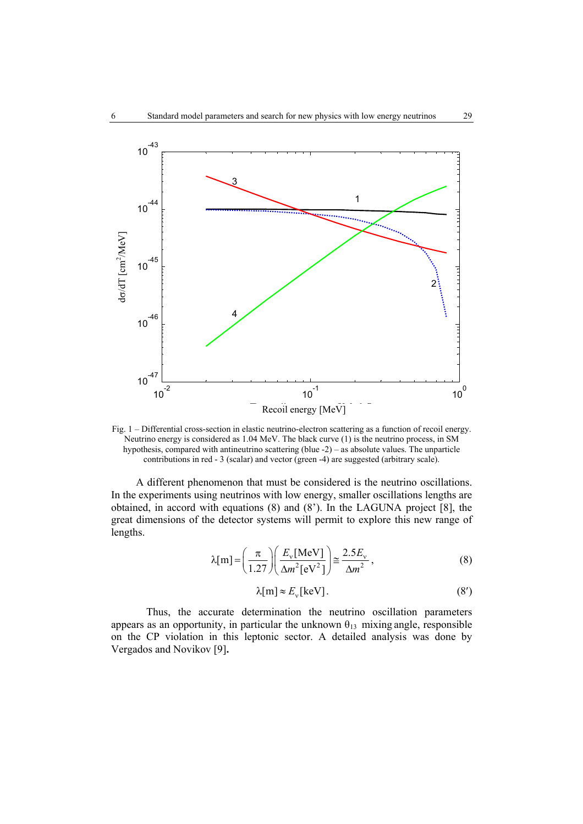

Fig. 1 – Differential cross-section in elastic neutrino-electron scattering as a function of recoil energy. Neutrino energy is considered as 1.04 MeV. The black curve (1) is the neutrino process, in SM hypothesis, compared with antineutrino scattering (blue -2) – as absolute values. The unparticle contributions in red - 3 (scalar) and vector (green -4) are suggested (arbitrary scale).

A different phenomenon that must be considered is the neutrino oscillations. In the experiments using neutrinos with low energy, smaller oscillations lengths are obtained, in accord with equations (8) and (8'). In the LAGUNA project [8], the great dimensions of the detector systems will permit to explore this new range of lengths.

$$
\lambda[m] = \left(\frac{\pi}{1.27}\right) \left(\frac{E_v[\text{MeV}]}{\Delta m^2[\text{eV}^2]}\right) \approx \frac{2.5E_v}{\Delta m^2},\tag{8}
$$

$$
\lambda[m] \approx E_{\rm v}[\text{keV}].\tag{8'}
$$

Thus, the accurate determination the neutrino oscillation parameters appears as an opportunity, in particular the unknown  $\theta_{13}$  mixing angle, responsible on the CP violation in this leptonic sector. A detailed analysis was done by Vergados and Novikov [9]**.**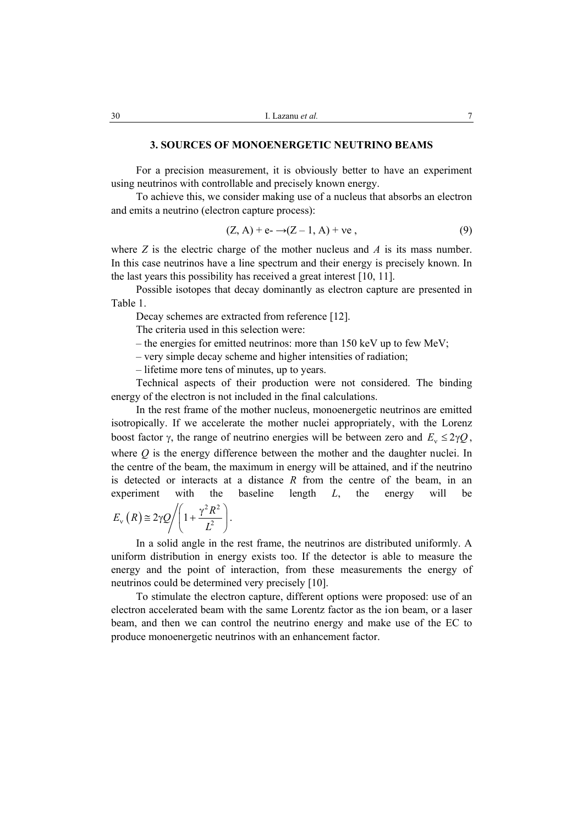## **3. SOURCES OF MONOENERGETIC NEUTRINO BEAMS**

For a precision measurement, it is obviously better to have an experiment using neutrinos with controllable and precisely known energy.

To achieve this, we consider making use of a nucleus that absorbs an electron and emits a neutrino (electron capture process):

$$
(Z, A) + e - \rightarrow (Z - 1, A) + ve ,
$$
\n
$$
(9)
$$

where  $Z$  is the electric charge of the mother nucleus and  $\overline{A}$  is its mass number. In this case neutrinos have a line spectrum and their energy is precisely known. In the last years this possibility has received a great interest [10, 11].

Possible isotopes that decay dominantly as electron capture are presented in Table 1.

Decay schemes are extracted from reference [12].

The criteria used in this selection were:

– the energies for emitted neutrinos: more than 150 keV up to few MeV;

– very simple decay scheme and higher intensities of radiation;

– lifetime more tens of minutes, up to years.

Technical aspects of their production were not considered. The binding energy of the electron is not included in the final calculations.

In the rest frame of the mother nucleus, monoenergetic neutrinos are emitted isotropically. If we accelerate the mother nuclei appropriately, with the Lorenz boost factor *γ*, the range of neutrino energies will be between zero and  $E_v \le 2γQ$ , where *Q* is the energy difference between the mother and the daughter nuclei. In the centre of the beam, the maximum in energy will be attained, and if the neutrino is detected or interacts at a distance *R* from the centre of the beam, in an experiment with the baseline length *L*, the energy will be

$$
E_{\rm v}(R) \approx 2\gamma Q \bigg/ \bigg(1 + \frac{\gamma^2 R^2}{L^2}\bigg).
$$

In a solid angle in the rest frame, the neutrinos are distributed uniformly. A uniform distribution in energy exists too. If the detector is able to measure the energy and the point of interaction, from these measurements the energy of neutrinos could be determined very precisely [10].

To stimulate the electron capture, different options were proposed: use of an electron accelerated beam with the same Lorentz factor as the ion beam, or a laser beam, and then we can control the neutrino energy and make use of the EC to produce monoenergetic neutrinos with an enhancement factor.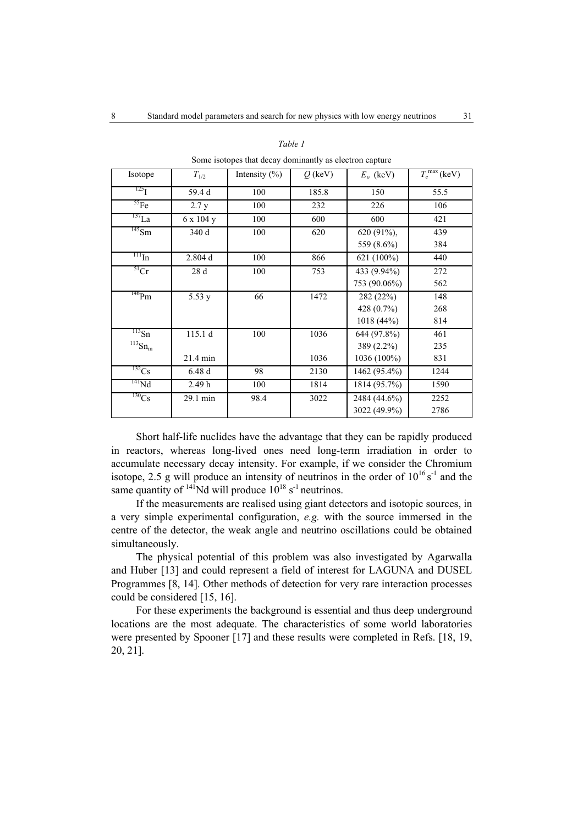| $\frac{1}{2}$ . The compact $\frac{1}{2}$ and $\frac{1}{2}$ are $\frac{1}{2}$ . The compact of $\frac{1}{2}$ |                   |                   |           |              |                          |
|--------------------------------------------------------------------------------------------------------------|-------------------|-------------------|-----------|--------------|--------------------------|
| Isotope                                                                                                      | $T_{1/2}$         | Intensity $(\% )$ | $Q$ (keV) | $E_v$ (keV)  | $T_e^{\text{max}}$ (keV) |
| $^{125}$ I                                                                                                   | 59.4 d            | 100               | 185.8     | 150          | 55.5                     |
| ${}^{55}Fe$                                                                                                  | 2.7 y             | 100               | 232       | 226          | 106                      |
| $^{137}$ La                                                                                                  | 6 x 104 y         | 100               | 600       | 600          | 421                      |
| $^{145}$ Sm                                                                                                  | 340 d             | 100               | 620       | 620 (91%),   | 439                      |
|                                                                                                              |                   |                   |           | 559 (8.6%)   | 384                      |
| $\frac{111}{111}$ In                                                                                         | 2.804 d           | 100               | 866       | 621 (100%)   | 440                      |
| 51 <sub>Cr</sub>                                                                                             | 28 d              | 100               | 753       | 433 (9.94%)  | 272                      |
|                                                                                                              |                   |                   |           | 753 (90.06%) | 562                      |
| $^{146}Pm$                                                                                                   | 5.53y             | 66                | 1472      | 282 (22%)    | 148                      |
|                                                                                                              |                   |                   |           | 428 (0.7%)   | 268                      |
|                                                                                                              |                   |                   |           | 1018(44%)    | 814                      |
| $\frac{113}{5n}$                                                                                             | 115.1d            | 100               | 1036      | 644 (97.8%)  | 461                      |
| $^{113}{\rm Sn}_{\rm m}$                                                                                     |                   |                   |           | 389 (2.2%)   | 235                      |
|                                                                                                              | 21.4 min          |                   | 1036      | 1036 (100%)  | 831                      |
| $^{132}Cs$                                                                                                   | 6.48d             | 98                | 2130      | 1462 (95.4%) | 1244                     |
| $^{141}Nd$                                                                                                   | 2.49 <sub>h</sub> | 100               | 1814      | 1814 (95.7%) | 1590                     |
| $^{130}Cs$                                                                                                   | 29.1 min          | 98.4              | 3022      | 2484 (44.6%) | 2252                     |
|                                                                                                              |                   |                   |           | 3022 (49.9%) | 2786                     |

#### *Table 1*

Some isotopes that decay dominantly as electron capture

Short half-life nuclides have the advantage that they can be rapidly produced in reactors, whereas long-lived ones need long-term irradiation in order to accumulate necessary decay intensity. For example, if we consider the Chromium isotope, 2.5 g will produce an intensity of neutrinos in the order of  $10^{16}$  s<sup>-1</sup> and the same quantity of  $^{141}$ Nd will produce  $10^{18}$  s<sup>-1</sup> neutrinos.

If the measurements are realised using giant detectors and isotopic sources, in a very simple experimental configuration, *e.g.* with the source immersed in the centre of the detector, the weak angle and neutrino oscillations could be obtained simultaneously.

The physical potential of this problem was also investigated by Agarwalla and Huber [13] and could represent a field of interest for LAGUNA and DUSEL Programmes [8, 14]. Other methods of detection for very rare interaction processes could be considered [15, 16].

For these experiments the background is essential and thus deep underground locations are the most adequate. The characteristics of some world laboratories were presented by Spooner [17] and these results were completed in Refs. [18, 19, 20, 21].